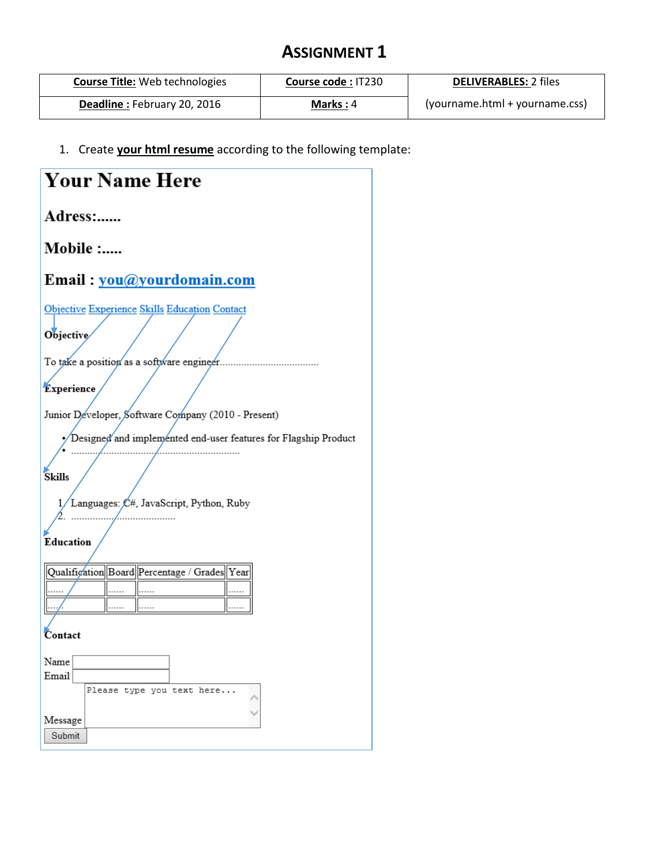## **ASSIGNMENT 1**

| <b>Course Title: Web technologies</b> | Course code: IT230 | <b>DELIVERABLES: 2 files</b>   |
|---------------------------------------|--------------------|--------------------------------|
| Deadline: February 20, 2016           | Marks: $4$         | (yourname.html + yourname.css) |

1. Create **your html resume** according to the following template:

| <b>Your Name Here</b>                                             |  |  |  |  |  |
|-------------------------------------------------------------------|--|--|--|--|--|
| Adress:                                                           |  |  |  |  |  |
| Mobile :                                                          |  |  |  |  |  |
| Email: you@yourdomain.com                                         |  |  |  |  |  |
| Objective Experience Skills Education Contact<br><b>Objective</b> |  |  |  |  |  |
| To take a position as a software engineer.                        |  |  |  |  |  |
| <b>Experience</b>                                                 |  |  |  |  |  |
| Junior Developer, Software Company (2010 - Present)               |  |  |  |  |  |
| Designed and implemented end-user features for Flagship Product   |  |  |  |  |  |
| <b>Skills</b>                                                     |  |  |  |  |  |
| 1/Languages: $/ \mathcal{L}$ #, JavaScript, Python, Ruby          |  |  |  |  |  |
| Education                                                         |  |  |  |  |  |
| Qualification Board Percentage / Grades Year                      |  |  |  |  |  |
|                                                                   |  |  |  |  |  |
|                                                                   |  |  |  |  |  |
| Contact                                                           |  |  |  |  |  |
| Name                                                              |  |  |  |  |  |
| Email                                                             |  |  |  |  |  |
| Please type you text here                                         |  |  |  |  |  |
| Message<br>Submit                                                 |  |  |  |  |  |
|                                                                   |  |  |  |  |  |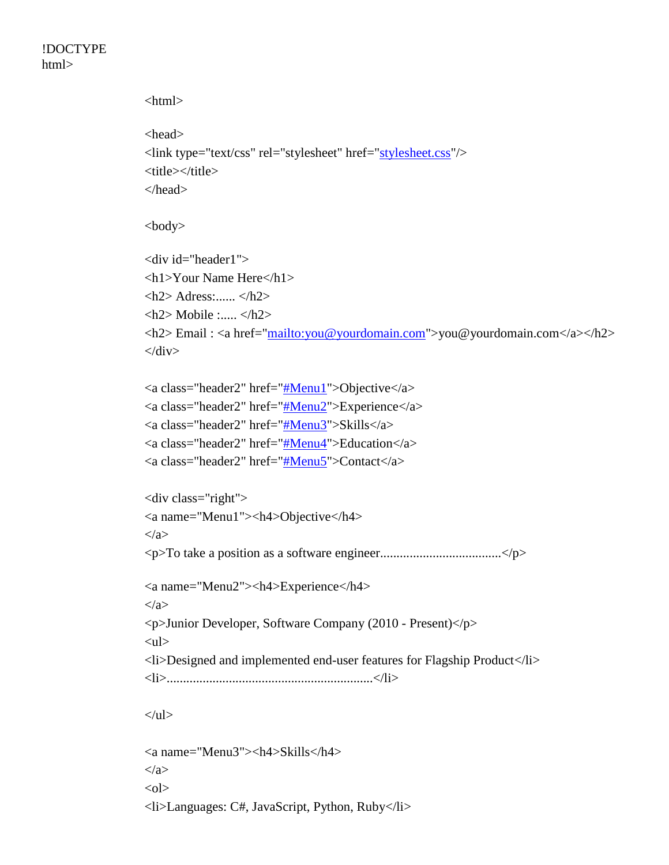!DOCTYPE html>

> <html> <head> <link type="text/css" rel="stylesheet" href=["stylesheet.css"](file:///C:/Users/r.guermazi/Desktop/stylesheet.css)/> <title></title> </head> <body> <div id="header1"> <h1>Your Name Here</h1>  $\langle h2 \rangle$  Adress:......  $\langle h2 \rangle$  $\langle h2 \rangle$  Mobile :.....  $\langle h2 \rangle$ <h2> Email : <a href=["mailto:you@yourdomain.com"](mailto:you@yourdomain.com)>you@yourdomain.com</a></h2>  $\langle$ div $>$ <a class="header2" href=["#Menu1"](file:///C:/Users/r.guermazi/Desktop/resume.html%23Menu1)>Objective</a> <a class="header2" href=["#Menu2"](file:///C:/Users/r.guermazi/Desktop/resume.html%23Menu2)>Experience</a> <a class="header2" href=["#Menu3"](file:///C:/Users/r.guermazi/Desktop/resume.html%23Menu3)>Skills</a>  $\alpha$  class="header2" href=["#Menu4"](file:///C:/Users/r.guermazi/Desktop/resume.html%23Menu4)>Education $\alpha$ <a class="header2" href=["#Menu5"](file:///C:/Users/r.guermazi/Desktop/resume.html%23Menu5)>Contact</a> <div class="right"> <a name="Menu1"><h4>Objective</h4> </a> <p>To take a position as a software engineer.....................................</p> <a name="Menu2"><h4>Experience</h4> </a> <p>Junior Developer, Software Company (2010 - Present)</p>  $<$ ul $>$ <li>Designed and implemented end-user features for Flagship Product</li> <li>...............................................................</li>  $\langle \text{ul} \rangle$ <a name="Menu3"><h4>Skills</h4>

</a>  $<$ ol $>$ <li>Languages: C#, JavaScript, Python, Ruby</li>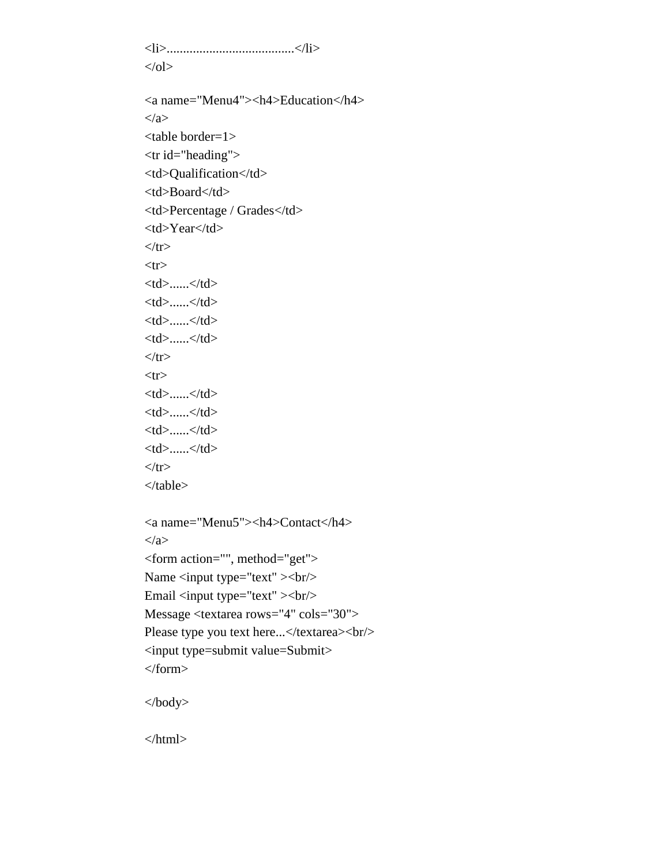<li>.......................................</li>  $<$ /ol $>$ <a name="Menu4"><h4>Education</h4>

</a>

<table border=1> <tr id="heading">

<td>Qualification</td>

<td>Board</td>

<td>Percentage / Grades</td>

<td>Year</td>

 $\langle tr \rangle$  $<$ tr $>$ 

<td>......</td>

 $<$ td $>$ ...... $<$ /td $>$ 

 $....  | |$ 

 $.... |$ 

 $\langle t$ tr $>$  $<$ tr $>$ 

<td>......</td>

 $......< |$ /td>

 $.... |$ 

<td>......</td>  $\langle tr \rangle$ 

</table>

<a name="Menu5"><h4>Contact</h4> </a> <form action="", method="get"> Name <input type="text" > <br/> \left> Email <input type="text" ><br/>br/> Message <textarea rows="4" cols="30"> Please type you text here...</textarea><br/>shipsilons  $\rho$ <input type=submit value=Submit> </form>

</body>

</html>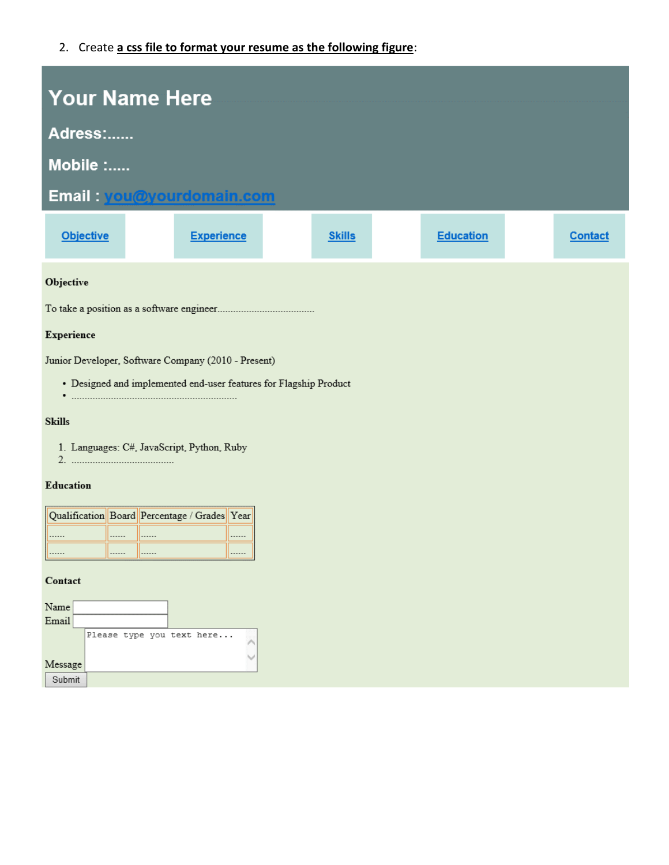2. Create **a css file to format your resume as the following figure**:

| <b>Your Name Here</b>                                                                                                    |                   |               |                  |                |  |  |  |
|--------------------------------------------------------------------------------------------------------------------------|-------------------|---------------|------------------|----------------|--|--|--|
| Adress:                                                                                                                  |                   |               |                  |                |  |  |  |
| Mobile :                                                                                                                 |                   |               |                  |                |  |  |  |
| Email: you@yourdomain.com                                                                                                |                   |               |                  |                |  |  |  |
| <b>Objective</b>                                                                                                         | <b>Experience</b> | <b>Skills</b> | <b>Education</b> | <b>Contact</b> |  |  |  |
| Objective                                                                                                                |                   |               |                  |                |  |  |  |
|                                                                                                                          |                   |               |                  |                |  |  |  |
| Experience                                                                                                               |                   |               |                  |                |  |  |  |
| Junior Developer, Software Company (2010 - Present)<br>• Designed and implemented end-user features for Flagship Product |                   |               |                  |                |  |  |  |
| <b>Skills</b>                                                                                                            |                   |               |                  |                |  |  |  |
| 1. Languages: C#, JavaScript, Python, Ruby                                                                               |                   |               |                  |                |  |  |  |
| <b>Education</b>                                                                                                         |                   |               |                  |                |  |  |  |
| Qualification Board Percentage / Grades Year                                                                             |                   |               |                  |                |  |  |  |
| .<br>.<br>II - - - - - -<br><br>                                                                                         | <br>              |               |                  |                |  |  |  |
| Contact                                                                                                                  |                   |               |                  |                |  |  |  |
| Name<br>$\operatorname{Email}$                                                                                           |                   |               |                  |                |  |  |  |
| Please type you text here                                                                                                |                   |               |                  |                |  |  |  |
| Message<br>Submit                                                                                                        |                   |               |                  |                |  |  |  |